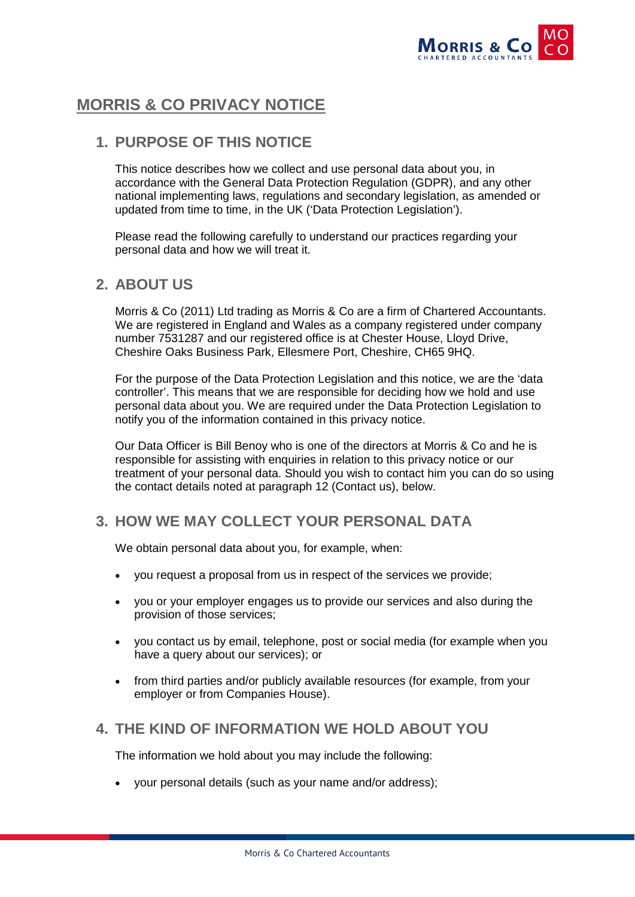

# **MORRIS & CO PRIVACY NOTICE**

# **1. PURPOSE OF THIS NOTICE**

This notice describes how we collect and use personal data about you, in accordance with the General Data Protection Regulation (GDPR), and any other national implementing laws, regulations and secondary legislation, as amended or updated from time to time, in the UK ('Data Protection Legislation').

Please read the following carefully to understand our practices regarding your personal data and how we will treat it.

### **2. ABOUT US**

Morris & Co (2011) Ltd trading as Morris & Co are a firm of Chartered Accountants. We are registered in England and Wales as a company registered under company number 7531287 and our registered office is at Chester House, Lloyd Drive, Cheshire Oaks Business Park, Ellesmere Port, Cheshire, CH65 9HQ.

For the purpose of the Data Protection Legislation and this notice, we are the 'data controller'. This means that we are responsible for deciding how we hold and use personal data about you. We are required under the Data Protection Legislation to notify you of the information contained in this privacy notice.

Our Data Officer is Bill Benoy who is one of the directors at Morris & Co and he is responsible for assisting with enquiries in relation to this privacy notice or our treatment of your personal data. Should you wish to contact him you can do so using the contact details noted at paragraph 12 (Contact us), below.

### **3. HOW WE MAY COLLECT YOUR PERSONAL DATA**

We obtain personal data about you, for example, when:

- you request a proposal from us in respect of the services we provide;
- you or your employer engages us to provide our services and also during the provision of those services;
- you contact us by email, telephone, post or social media (for example when you have a query about our services); or
- from third parties and/or publicly available resources (for example, from your employer or from Companies House).

### **4. THE KIND OF INFORMATION WE HOLD ABOUT YOU**

The information we hold about you may include the following:

• your personal details (such as your name and/or address);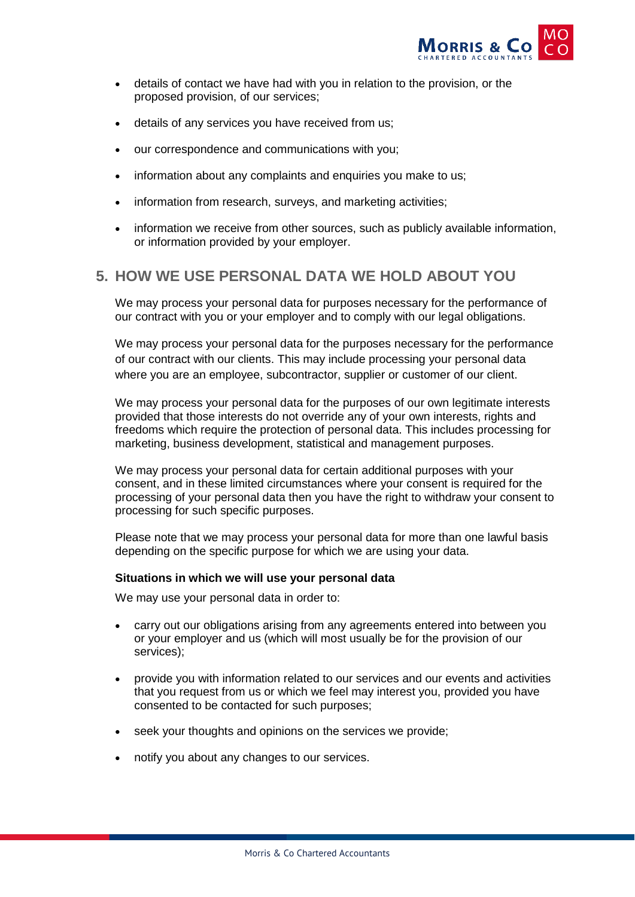

- details of contact we have had with you in relation to the provision, or the proposed provision, of our services;
- details of any services you have received from us:
- our correspondence and communications with you;
- information about any complaints and enquiries you make to us;
- information from research, surveys, and marketing activities;
- information we receive from other sources, such as publicly available information, or information provided by your employer.

### **5. HOW WE USE PERSONAL DATA WE HOLD ABOUT YOU**

We may process your personal data for purposes necessary for the performance of our contract with you or your employer and to comply with our legal obligations.

We may process your personal data for the purposes necessary for the performance of our contract with our clients. This may include processing your personal data where you are an employee, subcontractor, supplier or customer of our client.

We may process your personal data for the purposes of our own legitimate interests provided that those interests do not override any of your own interests, rights and freedoms which require the protection of personal data. This includes processing for marketing, business development, statistical and management purposes.

We may process your personal data for certain additional purposes with your consent, and in these limited circumstances where your consent is required for the processing of your personal data then you have the right to withdraw your consent to processing for such specific purposes.

Please note that we may process your personal data for more than one lawful basis depending on the specific purpose for which we are using your data.

#### **Situations in which we will use your personal data**

We may use your personal data in order to:

- carry out our obligations arising from any agreements entered into between you or your employer and us (which will most usually be for the provision of our services);
- provide you with information related to our services and our events and activities that you request from us or which we feel may interest you, provided you have consented to be contacted for such purposes;
- seek your thoughts and opinions on the services we provide;
- notify you about any changes to our services.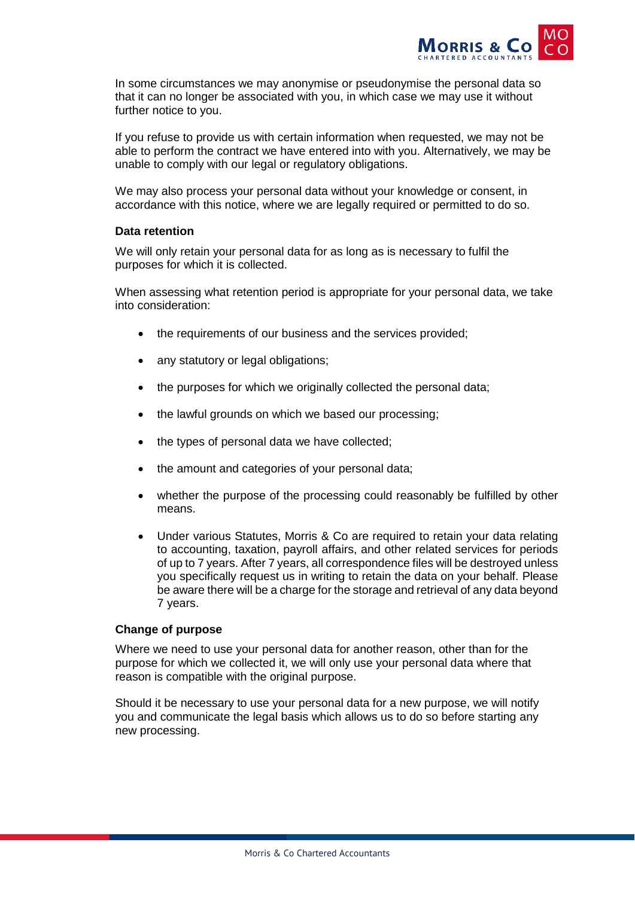

In some circumstances we may anonymise or pseudonymise the personal data so that it can no longer be associated with you, in which case we may use it without further notice to you.

If you refuse to provide us with certain information when requested, we may not be able to perform the contract we have entered into with you. Alternatively, we may be unable to comply with our legal or regulatory obligations.

We may also process your personal data without your knowledge or consent, in accordance with this notice, where we are legally required or permitted to do so.

#### **Data retention**

We will only retain your personal data for as long as is necessary to fulfil the purposes for which it is collected.

When assessing what retention period is appropriate for your personal data, we take into consideration:

- the requirements of our business and the services provided:
- any statutory or legal obligations:
- the purposes for which we originally collected the personal data;
- the lawful grounds on which we based our processing;
- the types of personal data we have collected;
- the amount and categories of your personal data;
- whether the purpose of the processing could reasonably be fulfilled by other means.
- Under various Statutes, Morris & Co are required to retain your data relating to accounting, taxation, payroll affairs, and other related services for periods of up to 7 years. After 7 years, all correspondence files will be destroyed unless you specifically request us in writing to retain the data on your behalf. Please be aware there will be a charge for the storage and retrieval of any data beyond 7 years.

#### **Change of purpose**

Where we need to use your personal data for another reason, other than for the purpose for which we collected it, we will only use your personal data where that reason is compatible with the original purpose.

Should it be necessary to use your personal data for a new purpose, we will notify you and communicate the legal basis which allows us to do so before starting any new processing.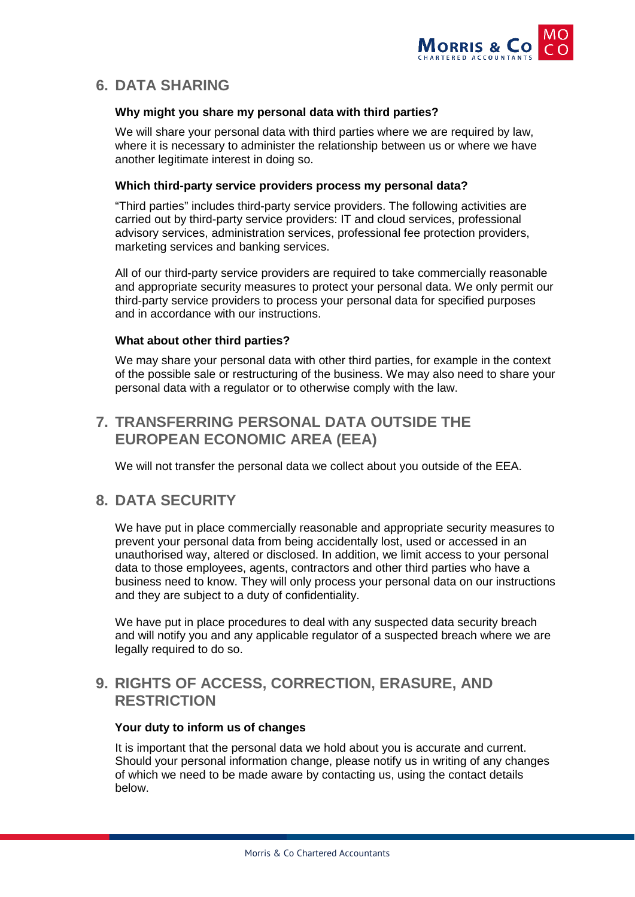

# **6. DATA SHARING**

#### **Why might you share my personal data with third parties?**

We will share your personal data with third parties where we are required by law, where it is necessary to administer the relationship between us or where we have another legitimate interest in doing so.

#### **Which third-party service providers process my personal data?**

"Third parties" includes third-party service providers. The following activities are carried out by third-party service providers: IT and cloud services, professional advisory services, administration services, professional fee protection providers, marketing services and banking services.

All of our third-party service providers are required to take commercially reasonable and appropriate security measures to protect your personal data. We only permit our third-party service providers to process your personal data for specified purposes and in accordance with our instructions.

#### **What about other third parties?**

We may share your personal data with other third parties, for example in the context of the possible sale or restructuring of the business. We may also need to share your personal data with a regulator or to otherwise comply with the law.

# **7. TRANSFERRING PERSONAL DATA OUTSIDE THE EUROPEAN ECONOMIC AREA (EEA)**

We will not transfer the personal data we collect about you outside of the EEA.

# **8. DATA SECURITY**

We have put in place commercially reasonable and appropriate security measures to prevent your personal data from being accidentally lost, used or accessed in an unauthorised way, altered or disclosed. In addition, we limit access to your personal data to those employees, agents, contractors and other third parties who have a business need to know. They will only process your personal data on our instructions and they are subject to a duty of confidentiality.

We have put in place procedures to deal with any suspected data security breach and will notify you and any applicable regulator of a suspected breach where we are legally required to do so.

# **9. RIGHTS OF ACCESS, CORRECTION, ERASURE, AND RESTRICTION**

#### **Your duty to inform us of changes**

It is important that the personal data we hold about you is accurate and current. Should your personal information change, please notify us in writing of any changes of which we need to be made aware by contacting us, using the contact details below.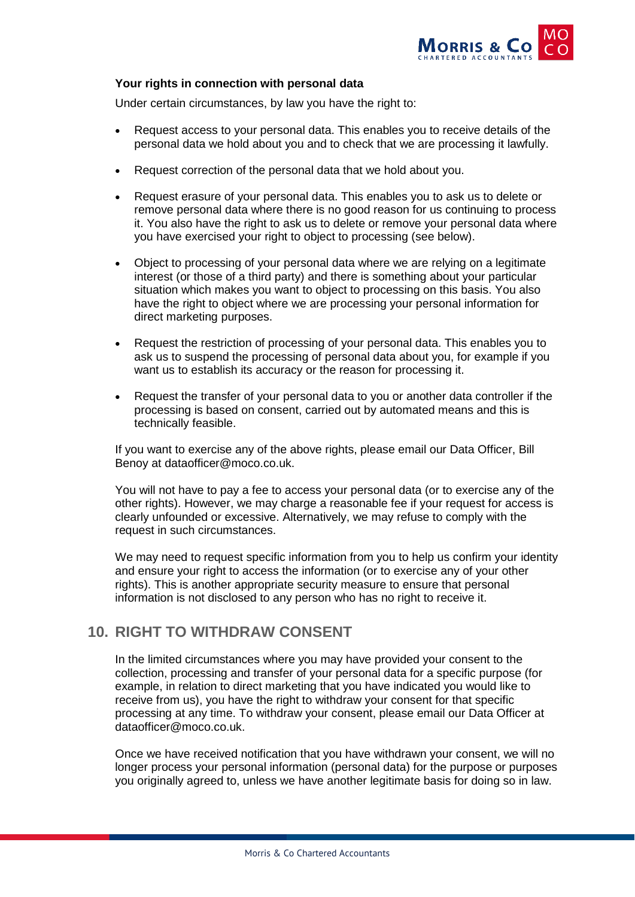

#### **Your rights in connection with personal data**

Under certain circumstances, by law you have the right to:

- Request access to your personal data. This enables you to receive details of the personal data we hold about you and to check that we are processing it lawfully.
- Request correction of the personal data that we hold about you.
- Request erasure of your personal data. This enables you to ask us to delete or remove personal data where there is no good reason for us continuing to process it. You also have the right to ask us to delete or remove your personal data where you have exercised your right to object to processing (see below).
- Object to processing of your personal data where we are relying on a legitimate interest (or those of a third party) and there is something about your particular situation which makes you want to object to processing on this basis. You also have the right to object where we are processing your personal information for direct marketing purposes.
- Request the restriction of processing of your personal data. This enables you to ask us to suspend the processing of personal data about you, for example if you want us to establish its accuracy or the reason for processing it.
- Request the transfer of your personal data to you or another data controller if the processing is based on consent, carried out by automated means and this is technically feasible.

If you want to exercise any of the above rights, please email our Data Officer, Bill Benoy at dataofficer@moco.co.uk.

You will not have to pay a fee to access your personal data (or to exercise any of the other rights). However, we may charge a reasonable fee if your request for access is clearly unfounded or excessive. Alternatively, we may refuse to comply with the request in such circumstances.

We may need to request specific information from you to help us confirm your identity and ensure your right to access the information (or to exercise any of your other rights). This is another appropriate security measure to ensure that personal information is not disclosed to any person who has no right to receive it.

### **10. RIGHT TO WITHDRAW CONSENT**

In the limited circumstances where you may have provided your consent to the collection, processing and transfer of your personal data for a specific purpose (for example, in relation to direct marketing that you have indicated you would like to receive from us), you have the right to withdraw your consent for that specific processing at any time. To withdraw your consent, please email our Data Officer at dataofficer@moco.co.uk.

Once we have received notification that you have withdrawn your consent, we will no longer process your personal information (personal data) for the purpose or purposes you originally agreed to, unless we have another legitimate basis for doing so in law.